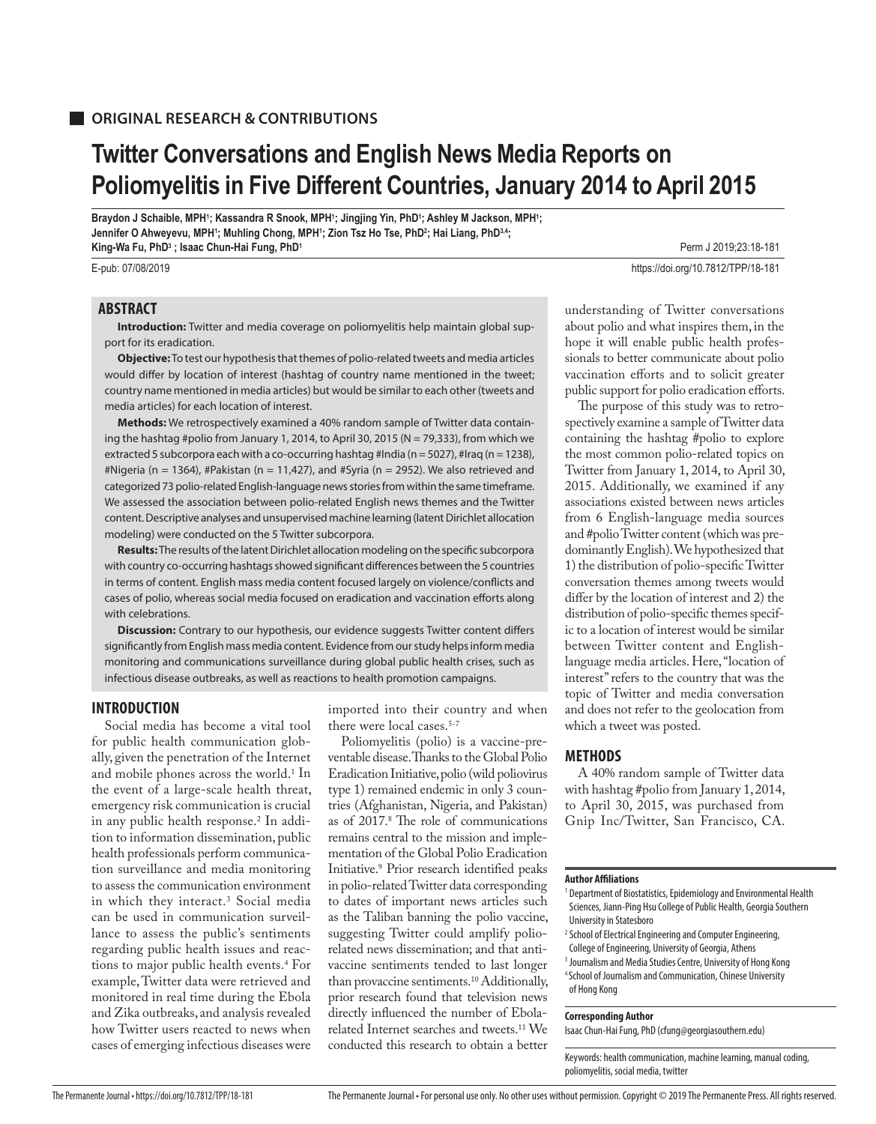# **Twitter Conversations and English News Media Reports on Poliomyelitis in Five Different Countries, January 2014 to April 2015**

**Braydon J Schaible, MPH1 ; Kassandra R Snook, MPH1 ; Jingjing Yin, PhD1 ; Ashley M Jackson, MPH1 ; Jennifer O Ahweyevu, MPH1 ; Muhling Chong, MPH1 ; Zion Tsz Ho Tse, PhD2 ; Hai Liang, PhD3,4; King-Wa Fu, PhD3 ; Isaac Chun-Hai Fung, PhD1** Perm J 2019;23:18-181

# E-pub: 07/08/2019 https://doi.org/10.7812/TPP/18-181

## **ABSTRACT**

**Introduction:** Twitter and media coverage on poliomyelitis help maintain global support for its eradication.

**Objective:** To test our hypothesis that themes of polio-related tweets and media articles would differ by location of interest (hashtag of country name mentioned in the tweet; country name mentioned in media articles) but would be similar to each other (tweets and media articles) for each location of interest.

**Methods:** We retrospectively examined a 40% random sample of Twitter data containing the hashtag #polio from January 1, 2014, to April 30, 2015 ( $N = 79,333$ ), from which we extracted 5 subcorpora each with a co-occurring hashtag #India (n = 5027), #Iraq (n = 1238), #Nigeria (n = 1364), #Pakistan (n = 11,427), and #Syria (n = 2952). We also retrieved and categorized 73 polio-related English-language news stories from within the same timeframe. We assessed the association between polio-related English news themes and the Twitter content. Descriptive analyses and unsupervised machine learning (latent Dirichlet allocation modeling) were conducted on the 5 Twitter subcorpora.

**Results:** The results of the latent Dirichlet allocation modeling on the specific subcorpora with country co-occurring hashtags showed significant differences between the 5 countries in terms of content. English mass media content focused largely on violence/conflicts and cases of polio, whereas social media focused on eradication and vaccination efforts along with celebrations.

**Discussion:** Contrary to our hypothesis, our evidence suggests Twitter content differs significantly from English mass media content. Evidence from our study helps inform media monitoring and communications surveillance during global public health crises, such as infectious disease outbreaks, as well as reactions to health promotion campaigns.

# **INTRODUCTION**

Social media has become a vital tool for public health communication globally, given the penetration of the Internet and mobile phones across the world.<sup>1</sup> In the event of a large-scale health threat, emergency risk communication is crucial in any public health response.2 In addition to information dissemination, public health professionals perform communication surveillance and media monitoring to assess the communication environment in which they interact.3 Social media can be used in communication surveillance to assess the public's sentiments regarding public health issues and reactions to major public health events.4 For example, Twitter data were retrieved and monitored in real time during the Ebola and Zika outbreaks, and analysis revealed how Twitter users reacted to news when cases of emerging infectious diseases were

imported into their country and when there were local cases.5-7

Poliomyelitis (polio) is a vaccine-preventable disease. Thanks to the Global Polio Eradication Initiative, polio (wild poliovirus type 1) remained endemic in only 3 countries (Afghanistan, Nigeria, and Pakistan) as of 2017.8 The role of communications remains central to the mission and implementation of the Global Polio Eradication Initiative.9 Prior research identified peaks in polio-related Twitter data corresponding to dates of important news articles such as the Taliban banning the polio vaccine, suggesting Twitter could amplify poliorelated news dissemination; and that antivaccine sentiments tended to last longer than provaccine sentiments.10 Additionally, prior research found that television news directly influenced the number of Ebolarelated Internet searches and tweets.11 We conducted this research to obtain a better

understanding of Twitter conversations about polio and what inspires them, in the hope it will enable public health professionals to better communicate about polio vaccination efforts and to solicit greater public support for polio eradication efforts.

The purpose of this study was to retrospectively examine a sample of Twitter data containing the hashtag #polio to explore the most common polio-related topics on Twitter from January 1, 2014, to April 30, 2015. Additionally, we examined if any associations existed between news articles from 6 English-language media sources and #polio Twitter content (which was predominantly English). We hypothesized that 1) the distribution of polio-specific Twitter conversation themes among tweets would differ by the location of interest and 2) the distribution of polio-specific themes specific to a location of interest would be similar between Twitter content and Englishlanguage media articles. Here, "location of interest" refers to the country that was the topic of Twitter and media conversation and does not refer to the geolocation from which a tweet was posted.

## **METHODS**

A 40% random sample of Twitter data with hashtag #polio from January 1, 2014, to April 30, 2015, was purchased from Gnip Inc/Twitter, San Francisco, CA.

#### **Author Affiliations**

<sup>1</sup> Department of Biostatistics, Epidemiology and Environmental Health Sciences, Jiann-Ping Hsu College of Public Health, Georgia Southern University in Statesboro

2 School of Electrical Engineering and Computer Engineering, College of Engineering, University of Georgia, Athens <sup>3</sup> Journalism and Media Studies Centre, University of Hong Kong

4 School of Journalism and Communication, Chinese University of Hong Kong

## **Corresponding Author**

Isaac Chun-Hai Fung, PhD (cfung@georgiasouthern.edu)

Keywords: health communication, machine learning, manual coding, poliomyelitis, social media, twitter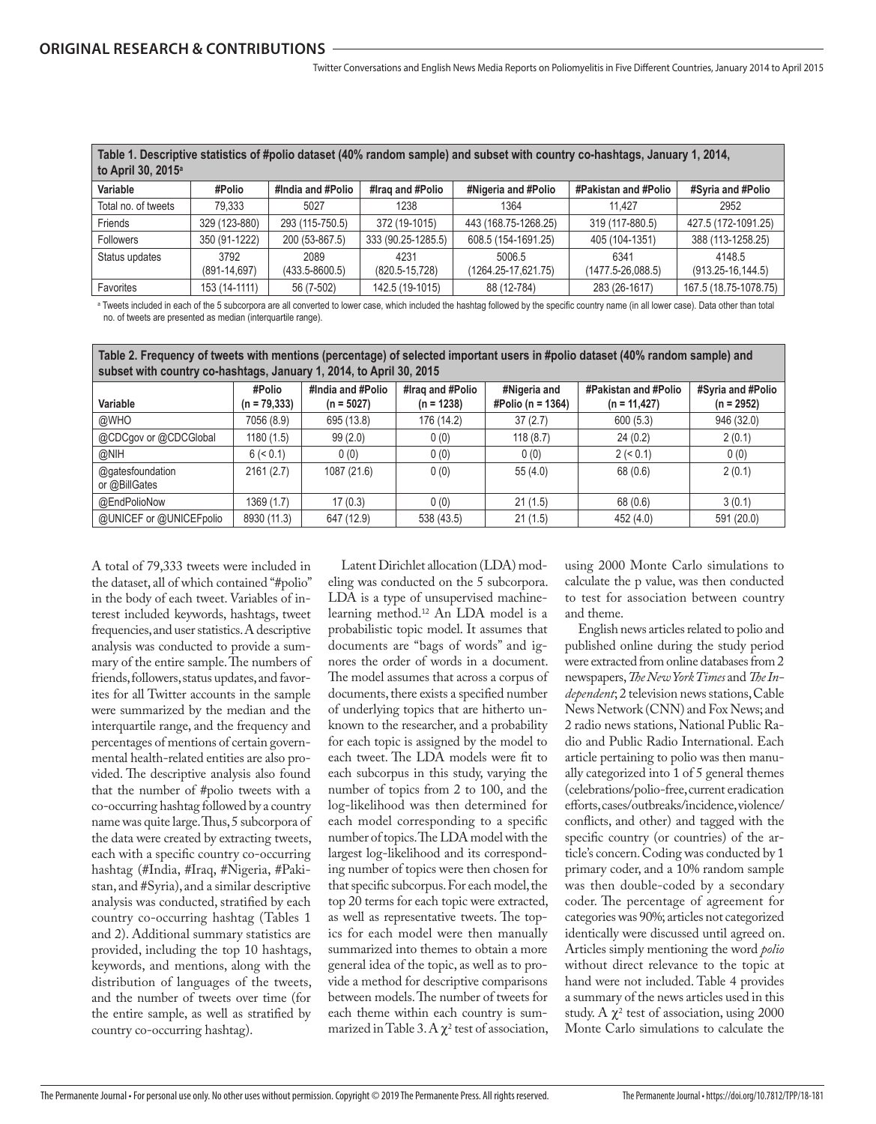| Table 1. Descriptive statistics of #polio dataset (40% random sample) and subset with country co-hashtags, January 1, 2014,<br>to April 30, 2015 <sup>a</sup> |                |                    |                     |                      |                       |                        |
|---------------------------------------------------------------------------------------------------------------------------------------------------------------|----------------|--------------------|---------------------|----------------------|-----------------------|------------------------|
| Variable                                                                                                                                                      | #Polio         | #India and #Polio  | #Iraq and #Polio    | #Nigeria and #Polio  | #Pakistan and #Polio  | #Syria and #Polio      |
| Total no. of tweets                                                                                                                                           | 79.333         | 5027               | 1238                | 1364                 | 11.427                | 2952                   |
| Friends                                                                                                                                                       | 329 (123-880)  | 293 (115-750.5)    | 372 (19-1015)       | 443 (168.75-1268.25) | 319 (117-880.5)       | 427.5 (172-1091.25)    |
| <b>Followers</b>                                                                                                                                              | 350 (91-1222)  | 200 (53-867.5)     | 333 (90.25-1285.5)  | 608.5 (154-1691.25)  | 405 (104-1351)        | 388 (113-1258.25)      |
| Status updates                                                                                                                                                | 3792           | 2089               | 4231                | 5006.5               | 6341                  | 4148.5                 |
|                                                                                                                                                               | $(891-14,697)$ | $(433.5 - 8600.5)$ | $(820.5 - 15, 728)$ | (1264.25-17,621.75)  | $(1477.5 - 26.088.5)$ | $(913.25 - 16, 144.5)$ |
| Favorites                                                                                                                                                     | 153 (14-1111)  | 56 (7-502)         | 142.5 (19-1015)     | 88 (12-784)          | 283 (26-1617)         | 167.5 (18.75-1078.75)  |

a Tweets included in each of the 5 subcorpora are all converted to lower case, which included the hashtag followed by the specific country name (in all lower case). Data other than total no. of tweets are presented as median (interquartile range).

**Table 2. Frequency of tweets with mentions (percentage) of selected important users in #polio dataset (40% random sample) and subset with country co-hashtags, January 1, 2014, to April 30, 2015**

| $\frac{1}{2}$ output into outling of nuontage, equality is $\frac{1}{2}$ in $\frac{1}{2}$ . Then $\frac{1}{2}$ |                           |                                   |                                  |                                   |                                         |                                   |  |
|----------------------------------------------------------------------------------------------------------------|---------------------------|-----------------------------------|----------------------------------|-----------------------------------|-----------------------------------------|-----------------------------------|--|
| Variable                                                                                                       | #Polio<br>$(n = 79, 333)$ | #India and #Polio<br>$(n = 5027)$ | #Irag and #Polio<br>$(n = 1238)$ | #Nigeria and<br>#Polio (n = 1364) | #Pakistan and #Polio<br>$(n = 11, 427)$ | #Syria and #Polio<br>$(n = 2952)$ |  |
| @WHO                                                                                                           | 7056 (8.9)                | 695 (13.8)                        | 176 (14.2)                       | 37(2.7)                           | 600(5.3)                                | 946 (32.0)                        |  |
| @CDCgov or @CDCGlobal                                                                                          | 1180(1.5)                 | 99(2.0)                           | 0(0)                             | 118(8.7)                          | 24(0.2)                                 | 2(0.1)                            |  |
| @NIH                                                                                                           | 6 (< 0.1)                 | 0(0)                              | 0(0)                             | 0(0)                              | 2 (< 0.1)                               | 0(0)                              |  |
| @gatesfoundation<br>or @BillGates                                                                              | 2161(2.7)                 | 1087 (21.6)                       | 0(0)                             | 55(4.0)                           | 68 (0.6)                                | 2(0.1)                            |  |
| @EndPolioNow                                                                                                   | 1369 (1.7)                | 17(0.3)                           | 0(0)                             | 21(1.5)                           | 68 (0.6)                                | 3(0.1)                            |  |
| @UNICEF or @UNICEFpolio                                                                                        | 8930 (11.3)               | 647 (12.9)                        | 538 (43.5)                       | 21(1.5)                           | 452 (4.0)                               | 591 (20.0)                        |  |

A total of 79,333 tweets were included in the dataset, all of which contained "#polio" in the body of each tweet. Variables of interest included keywords, hashtags, tweet frequencies, and user statistics. A descriptive analysis was conducted to provide a summary of the entire sample. The numbers of friends, followers, status updates, and favorites for all Twitter accounts in the sample were summarized by the median and the interquartile range, and the frequency and percentages of mentions of certain governmental health-related entities are also provided. The descriptive analysis also found that the number of #polio tweets with a co-occurring hashtag followed by a country name was quite large. Thus, 5 subcorpora of the data were created by extracting tweets, each with a specific country co-occurring hashtag (#India, #Iraq, #Nigeria, #Pakistan, and #Syria), and a similar descriptive analysis was conducted, stratified by each country co-occurring hashtag (Tables 1 and 2). Additional summary statistics are provided, including the top 10 hashtags, keywords, and mentions, along with the distribution of languages of the tweets, and the number of tweets over time (for the entire sample, as well as stratified by country co-occurring hashtag).

Latent Dirichlet allocation (LDA) modeling was conducted on the 5 subcorpora. LDA is a type of unsupervised machinelearning method.12 An LDA model is a probabilistic topic model. It assumes that documents are "bags of words" and ignores the order of words in a document. The model assumes that across a corpus of documents, there exists a specified number of underlying topics that are hitherto unknown to the researcher, and a probability for each topic is assigned by the model to each tweet. The LDA models were fit to each subcorpus in this study, varying the number of topics from 2 to 100, and the log-likelihood was then determined for each model corresponding to a specific number of topics. The LDA model with the largest log-likelihood and its corresponding number of topics were then chosen for that specific subcorpus. For each model, the top 20 terms for each topic were extracted, as well as representative tweets. The topics for each model were then manually summarized into themes to obtain a more general idea of the topic, as well as to provide a method for descriptive comparisons between models. The number of tweets for each theme within each country is summarized in Table 3. A  $\chi^2$  test of association, using 2000 Monte Carlo simulations to calculate the p value, was then conducted to test for association between country and theme.

English news articles related to polio and published online during the study period were extracted from online databases from 2 newspapers, *The New York Times* and *The Independent*; 2 television news stations, Cable News Network (CNN) and Fox News; and 2 radio news stations, National Public Radio and Public Radio International. Each article pertaining to polio was then manually categorized into 1 of 5 general themes (celebrations/polio-free, current eradication efforts, cases/outbreaks/incidence, violence/ conflicts, and other) and tagged with the specific country (or countries) of the article's concern. Coding was conducted by 1 primary coder, and a 10% random sample was then double-coded by a secondary coder. The percentage of agreement for categories was 90%; articles not categorized identically were discussed until agreed on. Articles simply mentioning the word *polio* without direct relevance to the topic at hand were not included. Table 4 provides a summary of the news articles used in this study. A  $\chi^2$  test of association, using 2000 Monte Carlo simulations to calculate the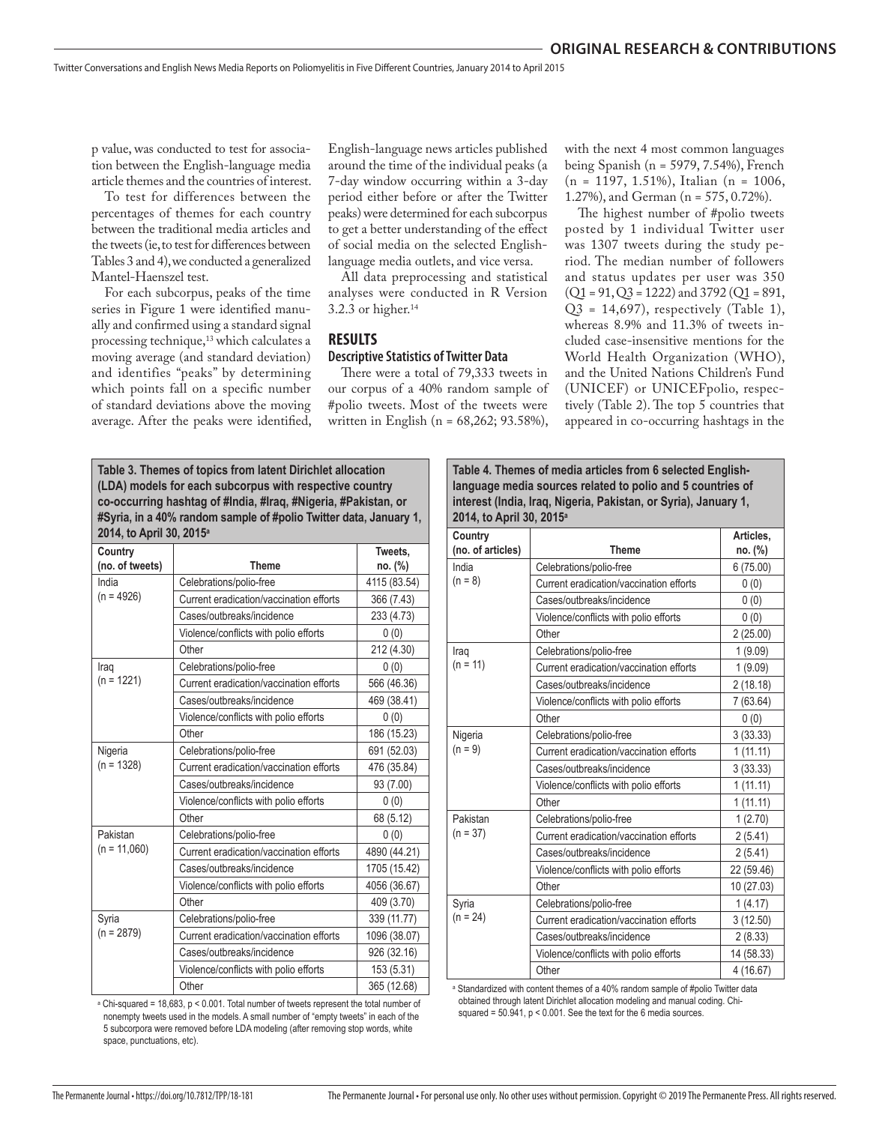p value, was conducted to test for association between the English-language media article themes and the countries of interest.

To test for differences between the percentages of themes for each country between the traditional media articles and the tweets (ie, to test for differences between Tables 3 and 4), we conducted a generalized Mantel-Haenszel test.

For each subcorpus, peaks of the time series in Figure 1 were identified manually and confirmed using a standard signal processing technique,<sup>13</sup> which calculates a moving average (and standard deviation) and identifies "peaks" by determining which points fall on a specific number of standard deviations above the moving average. After the peaks were identified, English-language news articles published around the time of the individual peaks (a 7-day window occurring within a 3-day period either before or after the Twitter peaks) were determined for each subcorpus to get a better understanding of the effect of social media on the selected Englishlanguage media outlets, and vice versa.

All data preprocessing and statistical analyses were conducted in R Version 3.2.3 or higher.14

## **RESULTS**

#### **Descriptive Statistics of Twitter Data**

There were a total of 79,333 tweets in our corpus of a 40% random sample of #polio tweets. Most of the tweets were written in English (n = 68,262; 93.58%), with the next 4 most common languages being Spanish (n = 5979, 7.54%), French  $(n = 1197, 1.51\%),$  Italian  $(n = 1006,$ 1.27%), and German (n = 575, 0.72%).

The highest number of #polio tweets posted by 1 individual Twitter user was 1307 tweets during the study period. The median number of followers and status updates per user was 350  $(Q1 = 91, Q3 = 1222)$  and 3792  $(Q1 = 891,$  $Q3 = 14,697$ , respectively (Table 1), whereas 8.9% and 11.3% of tweets included case-insensitive mentions for the World Health Organization (WHO), and the United Nations Children's Fund (UNICEF) or UNICEFpolio, respectively (Table 2). The top 5 countries that appeared in co-occurring hashtags in the

**Table 3. Themes of topics from latent Dirichlet allocation (LDA) models for each subcorpus with respective country co-occurring hashtag of #India, #Iraq, #Nigeria, #Pakistan, or #Syria, in a 40% random sample of #polio Twitter data, January 1, 2014, to April 30, 2015a**

| Country<br>(no. of tweets) | <b>Theme</b>                            | Tweets,<br>no. (%) |
|----------------------------|-----------------------------------------|--------------------|
| India                      | Celebrations/polio-free                 | 4115 (83.54)       |
| $(n = 4926)$               | Current eradication/vaccination efforts | 366 (7.43)         |
|                            | Cases/outbreaks/incidence               | 233 (4.73)         |
|                            | Violence/conflicts with polio efforts   | 0(0)               |
|                            | Other                                   | 212 (4.30)         |
| Iraq                       | Celebrations/polio-free                 | 0(0)               |
| $(n = 1221)$               | Current eradication/vaccination efforts | 566 (46.36)        |
|                            | Cases/outbreaks/incidence               | 469 (38.41)        |
|                            | Violence/conflicts with polio efforts   | 0(0)               |
|                            | Other                                   | 186 (15.23)        |
| Nigeria                    | Celebrations/polio-free                 | 691 (52.03)        |
| $(n = 1328)$               | Current eradication/vaccination efforts | 476 (35.84)        |
|                            | Cases/outbreaks/incidence               | 93 (7.00)          |
|                            | Violence/conflicts with polio efforts   | 0(0)               |
|                            | Other                                   | 68 (5.12)          |
| Pakistan                   | Celebrations/polio-free                 | 0(0)               |
| $(n = 11,060)$             | Current eradication/vaccination efforts | 4890 (44.21)       |
|                            | Cases/outbreaks/incidence               | 1705 (15.42)       |
|                            | Violence/conflicts with polio efforts   | 4056 (36.67)       |
|                            | Other                                   | 409 (3.70)         |
| Syria<br>$(n = 2879)$      | Celebrations/polio-free                 | 339 (11.77)        |
|                            | Current eradication/vaccination efforts | 1096 (38.07)       |
|                            | Cases/outbreaks/incidence               | 926 (32.16)        |
|                            | Violence/conflicts with polio efforts   | 153 (5.31)         |
|                            | Other                                   | 365 (12.68)        |

**Table 4. Themes of media articles from 6 selected Englishlanguage media sources related to polio and 5 countries of interest (India, Iraq, Nigeria, Pakistan, or Syria), January 1, 2014, to April 30, 2015a**

| Country           |                                         | Articles.  |
|-------------------|-----------------------------------------|------------|
| (no. of articles) | <b>Theme</b>                            | no. (%)    |
| India             | Celebrations/polio-free                 | 6(75.00)   |
| $(n = 8)$         | Current eradication/vaccination efforts | 0(0)       |
|                   | Cases/outbreaks/incidence               | 0(0)       |
|                   | Violence/conflicts with polio efforts   | 0(0)       |
|                   | Other                                   | 2(25.00)   |
| Iraq              | Celebrations/polio-free                 | 1(9.09)    |
| $(n = 11)$        | Current eradication/vaccination efforts | 1(9.09)    |
|                   | Cases/outbreaks/incidence               | 2(18.18)   |
|                   | Violence/conflicts with polio efforts   | 7 (63.64)  |
|                   | Other                                   | 0(0)       |
| Nigeria           | Celebrations/polio-free                 | 3(33.33)   |
| $(n = 9)$         | Current eradication/vaccination efforts | 1(11.11)   |
|                   | Cases/outbreaks/incidence               | 3(33.33)   |
|                   | Violence/conflicts with polio efforts   | 1(11.11)   |
|                   | Other                                   | 1(11.11)   |
| Pakistan          | Celebrations/polio-free                 | 1(2.70)    |
| $(n = 37)$        | Current eradication/vaccination efforts | 2(5.41)    |
|                   | Cases/outbreaks/incidence               | 2(5.41)    |
|                   | Violence/conflicts with polio efforts   | 22 (59.46) |
|                   | Other                                   | 10 (27.03) |
| Syria             | Celebrations/polio-free                 | 1(4.17)    |
| $(n = 24)$        | Current eradication/vaccination efforts | 3(12.50)   |
|                   | Cases/outbreaks/incidence               | 2(8.33)    |
|                   | Violence/conflicts with polio efforts   | 14 (58.33) |
|                   | Other                                   | 4 (16.67)  |

a Chi-squared = 18,683, p < 0.001. Total number of tweets represent the total number of nonempty tweets used in the models. A small number of "empty tweets" in each of the 5 subcorpora were removed before LDA modeling (after removing stop words, white space, punctuations, etc).

<sup>a</sup> Standardized with content themes of a 40% random sample of #polio Twitter data obtained through latent Dirichlet allocation modeling and manual coding. Chisquared =  $50.941$ ,  $p < 0.001$ . See the text for the 6 media sources.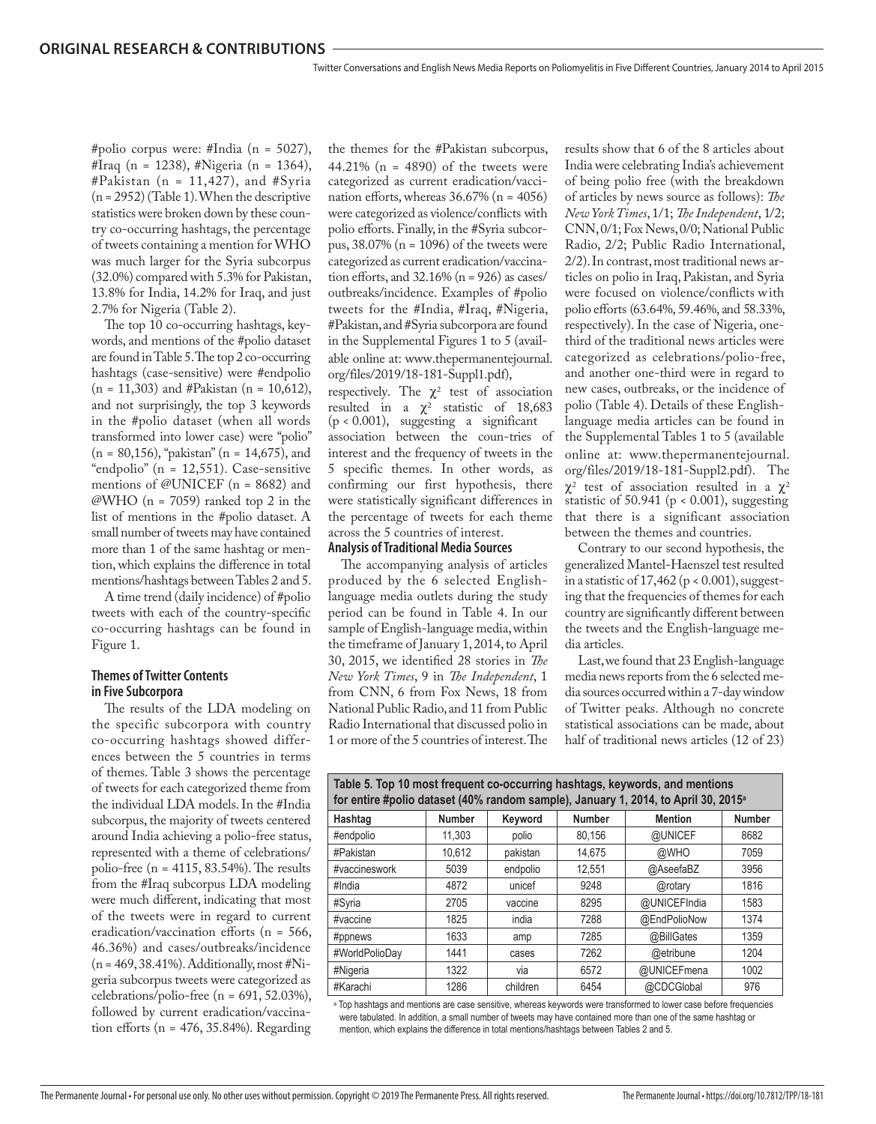#polio corpus were: #India (n =  $5027$ ), #Iraq (n = 1238), #Nigeria (n = 1364), #Pakistan (n = 11,427), and #Syria (n = 2952) (Table 1). When the descriptive statistics were broken down by these country co-occurring hashtags, the percentage of tweets containing a mention for WHO was much larger for the Syria subcorpus (32.0%) compared with 5.3% for Pakistan, 13.8% for India, 14.2% for Iraq, and just 2.7% for Nigeria (Table 2).

The top 10 co-occurring hashtags, keywords, and mentions of the #polio dataset are found in Table 5. The top 2 co-occurring hashtags (case-sensitive) were #endpolio  $(n = 11,303)$  and #Pakistan  $(n = 10,612)$ , and not surprisingly, the top 3 keywords in the #polio dataset (when all words transformed into lower case) were "polio"  $(n = 80,156)$ , "pakistan" (n = 14,675), and "endpolio" (n =  $12,551$ ). Case-sensitive mentions of @UNICEF (n = 8682) and  $\omega$ WHO (n = 7059) ranked top 2 in the list of mentions in the #polio dataset. A small number of tweets may have contained more than 1 of the same hashtag or mention, which explains the difference in total mentions/hashtags between Tables 2 and 5.

A time trend (daily incidence) of #polio tweets with each of the country-specific co-occurring hashtags can be found in Figure 1.

## **Themes of Twitter Contents in Five Subcorpora**

The results of the LDA modeling on the specific subcorpora with country co-occurring hashtags showed differences between the 5 countries in terms of themes. Table 3 shows the percentage of tweets for each categorized theme from the individual LDA models. In the #India subcorpus, the majority of tweets centered around India achieving a polio-free status, represented with a theme of celebrations/ polio-free (n = 4115, 83.54%). The results from the #Iraq subcorpus LDA modeling were much different, indicating that most of the tweets were in regard to current eradication/vaccination efforts (n = 566, 46.36%) and cases/outbreaks/incidence  $(n = 469, 38.41\%).$  Additionally, most #Nigeria subcorpus tweets were categorized as celebrations/polio-free ( $n = 691, 52.03\%$ ), followed by current eradication/vaccination efforts ( $n = 476, 35.84%$ ). Regarding

the themes for the #Pakistan subcorpus, 44.21% ( $n = 4890$ ) of the tweets were categorized as current eradication/vaccination efforts, whereas 36.67% (n = 4056) were categorized as violence/conflicts with polio efforts. Finally, in the #Syria subcorpus, 38.07% (n = 1096) of the tweets were categorized as current eradication/vaccination efforts, and  $32.16\%$  (n = 926) as cases/ outbreaks/incidence. Examples of #polio tweets for the #India, #Iraq, #Nigeria, #Pakistan, and #Syria subcorpora are found in the Supplemental Figures 1 to 5 (available online at: www.thepermanentejournal. org/files/2019/18-181-Suppl1.pdf),

respectively. The  $\chi^2$  test of association resulted in a  $\chi^2$  statistic of 18,683 (p < 0.001), suggesting a significant association between the coun-tries of interest and the frequency of tweets in the 5 specific themes. In other words, as confirming our first hypothesis, there were statistically significant differences in the percentage of tweets for each theme across the 5 countries of interest.

# **Analysis of Traditional Media Sources**

The accompanying analysis of articles produced by the 6 selected Englishlanguage media outlets during the study period can be found in Table 4. In our sample of English-language media, within the timeframe of January 1, 2014, to April 30, 2015, we identified 28 stories in *The New York Times*, 9 in *The Independent*, 1 from CNN, 6 from Fox News, 18 from National Public Radio, and 11 from Public Radio International that discussed polio in 1 or more of the 5 countries of interest. The

results show that 6 of the 8 articles about India were celebrating India's achievement of being polio free (with the breakdown of articles by news source as follows): *The New York Times*, 1/1; *The Independent*, 1/2; CNN, 0/1; Fox News, 0/0; National Public Radio, 2/2; Public Radio International, 2/2). In contrast, most traditional news articles on polio in Iraq, Pakistan, and Syria were focused on violence/conflicts w ith polio efforts (63.64%, 59.46%, and 58.33%, respectively). In the case of Nigeria, onethird of the traditional news articles were categorized as celebrations/polio-free, and another one-third were in regard to new cases, outbreaks, or the incidence of polio (Table 4). Details of these Englishlanguage media articles can be found in the Supplemental Tables 1 to 5 (available online at: www.thepermanentejournal. org/files/2019/18-181-Suppl2.pdf). The  $\chi^2$  test of association resulted in a  $\chi^2$ statistic of  $50.941$  ( $p < 0.001$ ), suggesting that there is a significant association between the themes and countries.

Contrary to our second hypothesis, the generalized Mantel-Haenszel test resulted in a statistic of  $17,462$  (p < 0.001), suggesting that the frequencies of themes for each country are significantly different between the tweets and the English-language media articles.

Last, we found that 23 English-language media news reports from the 6 selected media sources occurred within a 7-day window of Twitter peaks. Although no concrete statistical associations can be made, about half of traditional news articles (12 of 23)

| Table 5. Top 10 most frequent co-occurring hashtags, keywords, and mentions<br>for entire #polio dataset (40% random sample), January 1, 2014, to April 30, 2015 <sup>a</sup> |               |          |               |                |               |
|-------------------------------------------------------------------------------------------------------------------------------------------------------------------------------|---------------|----------|---------------|----------------|---------------|
| Hashtag                                                                                                                                                                       | <b>Number</b> | Keyword  | <b>Number</b> | <b>Mention</b> | <b>Number</b> |
| #endpolio                                                                                                                                                                     | 11.303        | polio    | 80.156        | @UNICEF        | 8682          |
| #Pakistan                                                                                                                                                                     | 10,612        | pakistan | 14,675        | @WHO           | 7059          |
| #vaccineswork                                                                                                                                                                 | 5039          | endpolio | 12.551        | @AseefaBZ      | 3956          |
| #India                                                                                                                                                                        | 4872          | unicef   | 9248          | @rotary        | 1816          |
| #Syria                                                                                                                                                                        | 2705          | vaccine  | 8295          | @UNICEFIndia   | 1583          |
| #vaccine                                                                                                                                                                      | 1825          | india    | 7288          | @EndPolioNow   | 1374          |
| #ppnews                                                                                                                                                                       | 1633          | amp      | 7285          | @BillGates     | 1359          |
| #WorldPolioDay                                                                                                                                                                | 1441          | cases    | 7262          | @etribune      | 1204          |
| #Nigeria                                                                                                                                                                      | 1322          | via      | 6572          | @UNICEFmena    | 1002          |
| #Karachi                                                                                                                                                                      | 1286          | children | 6454          | @CDCGlobal     | 976           |

a Top hashtags and mentions are case sensitive, whereas keywords were transformed to lower case before frequencies were tabulated. In addition, a small number of tweets may have contained more than one of the same hashtag or mention, which explains the difference in total mentions/hashtags between Tables 2 and 5.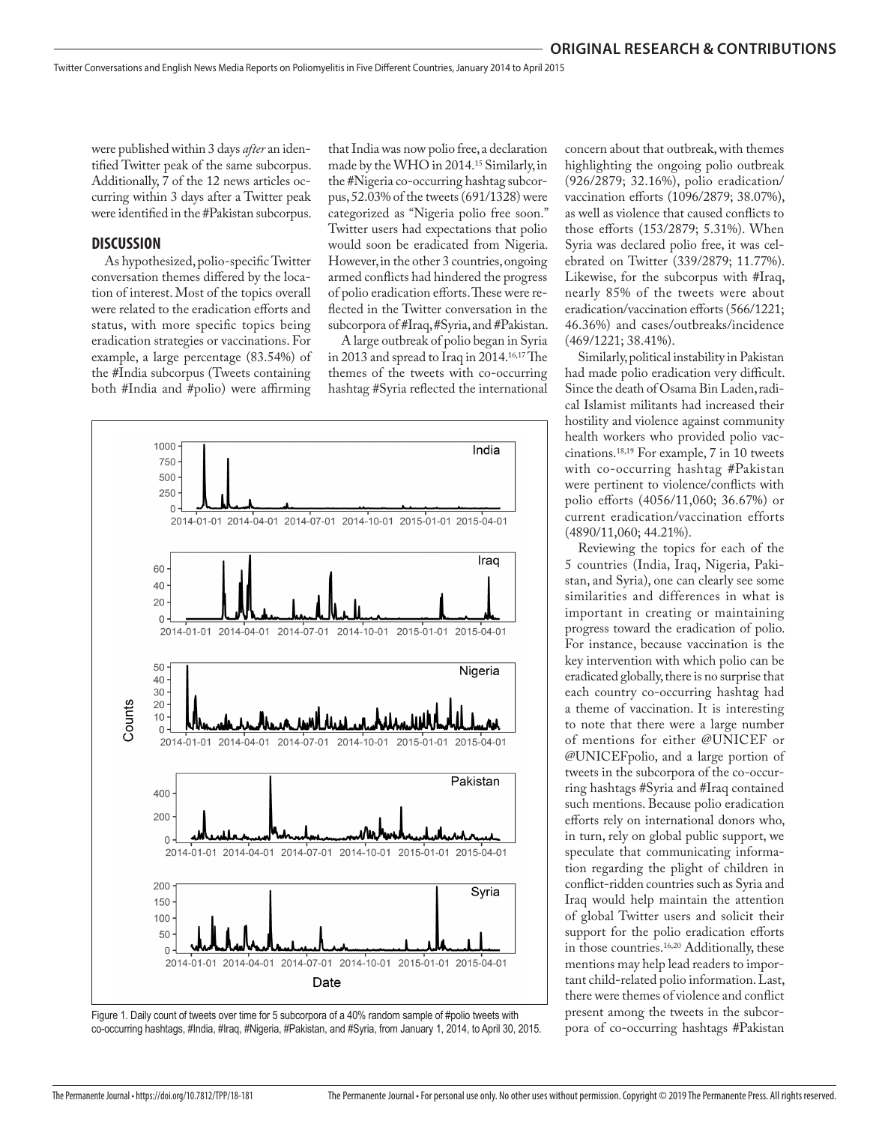were published within 3 days *after* an identified Twitter peak of the same subcorpus. Additionally, 7 of the 12 news articles occurring within 3 days after a Twitter peak were identified in the #Pakistan subcorpus.

#### **DISCUSSION**

As hypothesized, polio-specific Twitter conversation themes differed by the location of interest. Most of the topics overall were related to the eradication efforts and status, with more specific topics being eradication strategies or vaccinations. For example, a large percentage (83.54%) of the #India subcorpus (Tweets containing both #India and #polio) were affirming

that India was now polio free, a declaration made by the WHO in 2014.15 Similarly, in the #Nigeria co-occurring hashtag subcorpus, 52.03% of the tweets (691/1328) were categorized as "Nigeria polio free soon." Twitter users had expectations that polio would soon be eradicated from Nigeria. However, in the other 3 countries, ongoing armed conflicts had hindered the progress of polio eradication efforts. These were reflected in the Twitter conversation in the subcorpora of #Iraq, #Syria, and #Pakistan.

A large outbreak of polio began in Syria in 2013 and spread to Iraq in 2014.16,17 The themes of the tweets with co-occurring hashtag #Syria reflected the international



Figure 1. Daily count of tweets over time for 5 subcorpora of a 40% random sample of #polio tweets with co-occurring hashtags, #India, #Iraq, #Nigeria, #Pakistan, and #Syria, from January 1, 2014, to April 30, 2015.

concern about that outbreak, with themes highlighting the ongoing polio outbreak (926/2879; 32.16%), polio eradication/ vaccination efforts (1096/2879; 38.07%), as well as violence that caused conflicts to those efforts (153/2879; 5.31%). When Syria was declared polio free, it was celebrated on Twitter (339/2879; 11.77%). Likewise, for the subcorpus with #Iraq, nearly 85% of the tweets were about eradication/vaccination efforts (566/1221; 46.36%) and cases/outbreaks/incidence (469/1221; 38.41%).

Similarly, political instability in Pakistan had made polio eradication very difficult. Since the death of Osama Bin Laden, radical Islamist militants had increased their hostility and violence against community health workers who provided polio vaccinations.18,19 For example, 7 in 10 tweets with co-occurring hashtag #Pakistan were pertinent to violence/conflicts with polio efforts (4056/11,060; 36.67%) or current eradication/vaccination efforts (4890/11,060; 44.21%).

Reviewing the topics for each of the 5 countries (India, Iraq, Nigeria, Pakistan, and Syria), one can clearly see some similarities and differences in what is important in creating or maintaining progress toward the eradication of polio. For instance, because vaccination is the key intervention with which polio can be eradicated globally, there is no surprise that each country co-occurring hashtag had a theme of vaccination. It is interesting to note that there were a large number of mentions for either @UNICEF or @UNICEFpolio, and a large portion of tweets in the subcorpora of the co-occurring hashtags #Syria and #Iraq contained such mentions. Because polio eradication efforts rely on international donors who, in turn, rely on global public support, we speculate that communicating information regarding the plight of children in conflict-ridden countries such as Syria and Iraq would help maintain the attention of global Twitter users and solicit their support for the polio eradication efforts in those countries.<sup>16,20</sup> Additionally, these mentions may help lead readers to important child-related polio information. Last, there were themes of violence and conflict present among the tweets in the subcorpora of co-occurring hashtags #Pakistan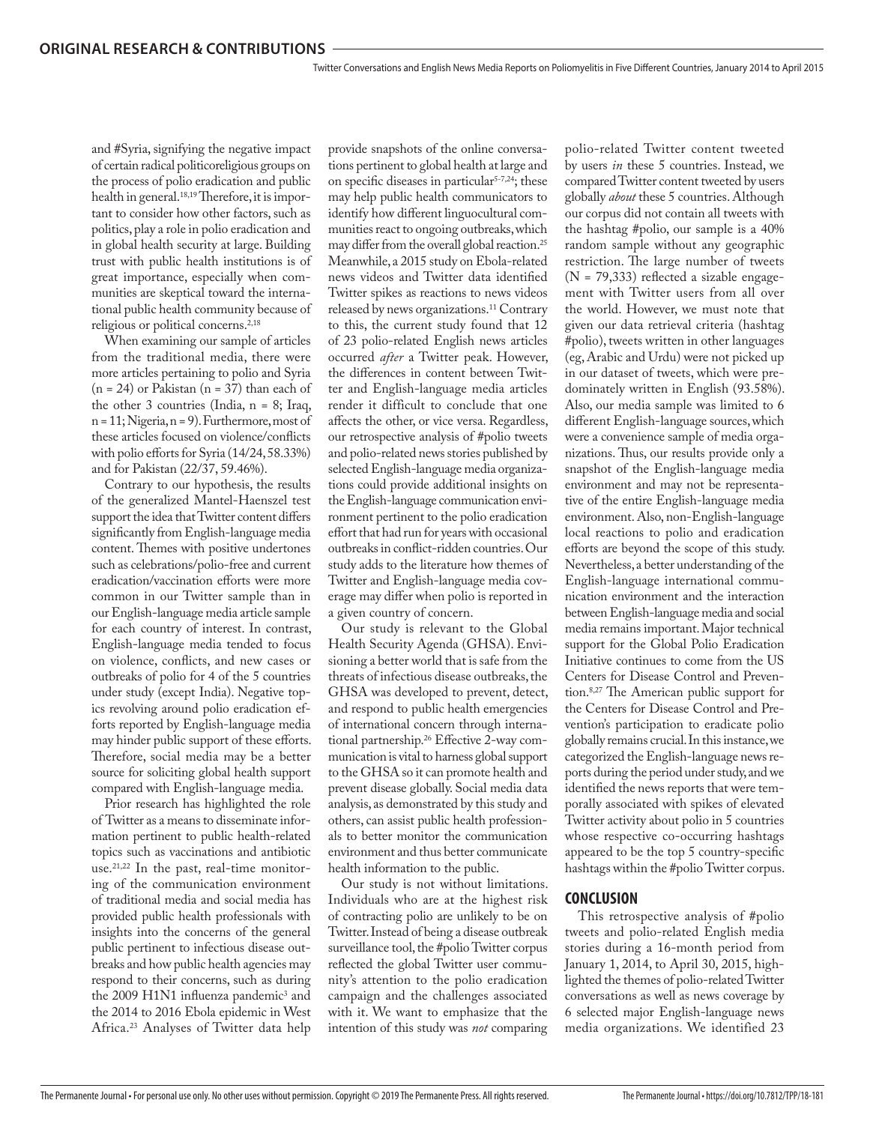and #Syria, signifying the negative impact of certain radical politicoreligious groups on the process of polio eradication and public health in general.18,19 Therefore, it is important to consider how other factors, such as politics, play a role in polio eradication and in global health security at large. Building trust with public health institutions is of great importance, especially when communities are skeptical toward the international public health community because of religious or political concerns.2,18

When examining our sample of articles from the traditional media, there were more articles pertaining to polio and Syria  $(n = 24)$  or Pakistan  $(n = 37)$  than each of the other 3 countries (India, n = 8; Iraq, n = 11; Nigeria, n = 9). Furthermore, most of these articles focused on violence/conflicts with polio efforts for Syria (14/24, 58.33%) and for Pakistan (22/37, 59.46%).

Contrary to our hypothesis, the results of the generalized Mantel-Haenszel test support the idea that Twitter content differs significantly from English-language media content. Themes with positive undertones such as celebrations/polio-free and current eradication/vaccination efforts were more common in our Twitter sample than in our English-language media article sample for each country of interest. In contrast, English-language media tended to focus on violence, conflicts, and new cases or outbreaks of polio for 4 of the 5 countries under study (except India). Negative topics revolving around polio eradication efforts reported by English-language media may hinder public support of these efforts. Therefore, social media may be a better source for soliciting global health support compared with English-language media.

Prior research has highlighted the role of Twitter as a means to disseminate information pertinent to public health-related topics such as vaccinations and antibiotic use.21,22 In the past, real-time monitoring of the communication environment of traditional media and social media has provided public health professionals with insights into the concerns of the general public pertinent to infectious disease outbreaks and how public health agencies may respond to their concerns, such as during the 2009 H1N1 influenza pandemic<sup>3</sup> and the 2014 to 2016 Ebola epidemic in West Africa.23 Analyses of Twitter data help

provide snapshots of the online conversations pertinent to global health at large and on specific diseases in particular<sup>5-7,24</sup>; these may help public health communicators to identify how different linguocultural communities react to ongoing outbreaks, which may differ from the overall global reaction.25 Meanwhile, a 2015 study on Ebola-related news videos and Twitter data identified Twitter spikes as reactions to news videos released by news organizations.11 Contrary to this, the current study found that 12 of 23 polio-related English news articles occurred *after* a Twitter peak. However, the differences in content between Twitter and English-language media articles render it difficult to conclude that one affects the other, or vice versa. Regardless, our retrospective analysis of #polio tweets and polio-related news stories published by selected English-language media organizations could provide additional insights on the English-language communication environment pertinent to the polio eradication effort that had run for years with occasional outbreaks in conflict-ridden countries. Our study adds to the literature how themes of Twitter and English-language media coverage may differ when polio is reported in a given country of concern.

Our study is relevant to the Global Health Security Agenda (GHSA). Envisioning a better world that is safe from the threats of infectious disease outbreaks, the GHSA was developed to prevent, detect, and respond to public health emergencies of international concern through international partnership.26 Effective 2-way communication is vital to harness global support to the GHSA so it can promote health and prevent disease globally. Social media data analysis, as demonstrated by this study and others, can assist public health professionals to better monitor the communication environment and thus better communicate health information to the public.

Our study is not without limitations. Individuals who are at the highest risk of contracting polio are unlikely to be on Twitter. Instead of being a disease outbreak surveillance tool, the #polio Twitter corpus reflected the global Twitter user community's attention to the polio eradication campaign and the challenges associated with it. We want to emphasize that the intention of this study was *not* comparing polio-related Twitter content tweeted by users *in* these 5 countries. Instead, we compared Twitter content tweeted by users globally *about* these 5 countries. Although our corpus did not contain all tweets with the hashtag #polio, our sample is a 40% random sample without any geographic restriction. The large number of tweets (N = 79,333) reflected a sizable engagement with Twitter users from all over the world. However, we must note that given our data retrieval criteria (hashtag #polio), tweets written in other languages (eg, Arabic and Urdu) were not picked up in our dataset of tweets, which were predominately written in English (93.58%). Also, our media sample was limited to 6 different English-language sources, which were a convenience sample of media organizations. Thus, our results provide only a snapshot of the English-language media environment and may not be representative of the entire English-language media environment. Also, non-English-language local reactions to polio and eradication efforts are beyond the scope of this study. Nevertheless, a better understanding of the English-language international communication environment and the interaction between English-language media and social media remains important. Major technical support for the Global Polio Eradication Initiative continues to come from the US Centers for Disease Control and Prevention.8,27 The American public support for the Centers for Disease Control and Prevention's participation to eradicate polio globally remains crucial. In this instance, we categorized the English-language news reports during the period under study, and we identified the news reports that were temporally associated with spikes of elevated Twitter activity about polio in 5 countries whose respective co-occurring hashtags appeared to be the top 5 country-specific hashtags within the #polio Twitter corpus.

## **CONCLUSION**

This retrospective analysis of #polio tweets and polio-related English media stories during a 16-month period from January 1, 2014, to April 30, 2015, highlighted the themes of polio-related Twitter conversations as well as news coverage by 6 selected major English-language news media organizations. We identified 23